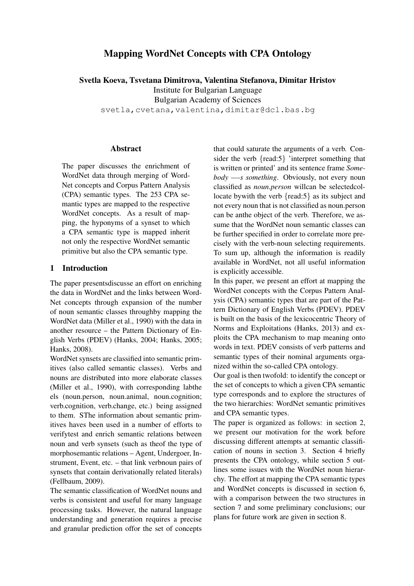# Mapping WordNet Concepts with CPA Ontology

Svetla Koeva, Tsvetana Dimitrova, Valentina Stefanova, Dimitar Hristov Institute for Bulgarian Language Bulgarian Academy of Sciences svetla, cvetana, valentina, dimitar@dcl.bas.bq

#### Abstract

The paper discusses the enrichment of WordNet data through merging of Word-Net concepts and Corpus Pattern Analysis (CPA) semantic types. The 253 CPA semantic types are mapped to the respective WordNet concepts. As a result of mapping, the hyponyms of a synset to which a CPA semantic type is mapped inherit not only the respective WordNet semantic primitive but also the CPA semantic type.

### 1 Introduction

The paper presentsdiscusse an effort on enriching the data in WordNet and the links between Word-Net concepts through expansion of the number of noun semantic classes throughby mapping the WordNet data (Miller et al., 1990) with the data in another resource – the Pattern Dictionary of English Verbs (PDEV) (Hanks, 2004; Hanks, 2005; Hanks, 2008).

WordNet synsets are classified into semantic primitives (also called semantic classes). Verbs and nouns are distributed into more elaborate classes (Miller et al., 1990), with corresponding labthe els (noun.person, noun.animal, noun.cognition; verb.cognition, verb.change, etc.) being assigned to them. SThe information about semantic primitives haves been used in a number of efforts to verifytest and enrich semantic relations between noun and verb synsets (such as theof the type of morphosemantic relations – Agent, Undergoer, Instrument, Event, etc. – that link verbnoun pairs of synsets that contain derivationally related literals) (Fellbaum, 2009).

The semantic classification of WordNet nouns and verbs is consistent and useful for many language processing tasks. However, the natural language understanding and generation requires a precise and granular prediction offor the set of concepts that could saturate the arguments of a verb. Consider the verb {read:5} 'interpret something that is written or printed' and its sentence frame *Somebody —-s something*. Obviously, not every noun classified as *noun.person* willcan be selectedcollocate by with the verb {read:5} as its subject and not every noun that is not classified as noun.person can be anthe object of the verb. Therefore, we assume that the WordNet noun semantic classes can be further specified in order to correlate more precisely with the verb-noun selecting requirements. To sum up, although the information is readily available in WordNet, not all useful information is explicitly accessible.

In this paper, we present an effort at mapping the WordNet concepts with the Corpus Pattern Analysis (CPA) semantic types that are part of the Pattern Dictionary of English Verbs (PDEV). PDEV is built on the basis of the lexicocentric Theory of Norms and Exploitations (Hanks, 2013) and exploits the CPA mechanism to map meaning onto words in text. PDEV consists of verb patterns and semantic types of their nominal arguments organized within the so-called CPA ontology.

Our goal is then twofold: to identify the concept or the set of concepts to which a given CPA semantic type corresponds and to explore the structures of the two hierarchies: WordNet semantic primitives and CPA semantic types.

The paper is organized as follows: in section 2, we present our motivation for the work before discussing different attempts at semantic classification of nouns in section 3. Section 4 briefly presents the CPA ontology, while section 5 outlines some issues with the WordNet noun hierarchy. The effort at mapping the CPA semantic types and WordNet concepts is discussed in section 6, with a comparison between the two structures in section 7 and some preliminary conclusions; our plans for future work are given in section 8.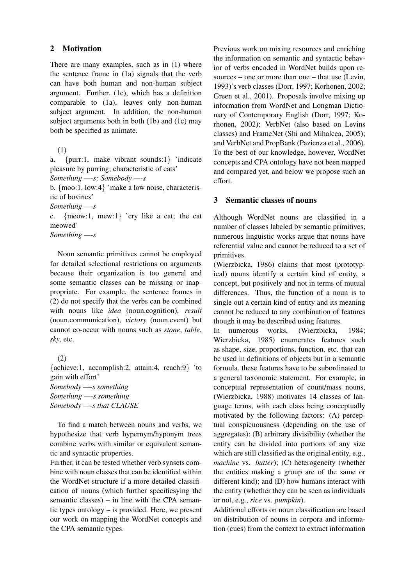### 2 Motivation

There are many examples, such as in (1) where the sentence frame in (1a) signals that the verb can have both human and non-human subject argument. Further, (1c), which has a definition comparable to (1a), leaves only non-human subject argument. In addition, the non-human subject arguments both in both (1b) and (1c) may both be specified as animate.

(1)

a. {purr:1, make vibrant sounds:1} 'indicate pleasure by purring; characteristic of cats'

*Something —-s; Somebody —-s*

b. {moo:1, low:4} 'make a low noise, characteristic of bovines'

*Something —-s*

c. {meow:1, mew:1} 'cry like a cat; the cat meowed'

*Something —-s*

Noun semantic primitives cannot be employed for detailed selectional restrictions on arguments because their organization is too general and some semantic classes can be missing or inappropriate. For example, the sentence frames in (2) do not specify that the verbs can be combined with nouns like *idea* (noun.cognition), *result* (noun.communication), *victory* (noun.event) but cannot co-occur with nouns such as *stone*, *table*, *sky*, etc.

(2) {achieve:1, accomplish:2, attain:4, reach:9} 'to gain with effort' *Somebody —-s something Something —-s something Somebody —-s that CLAUSE*

To find a match between nouns and verbs, we hypothesize that verb hypernym/hyponym trees combine verbs with similar or equivalent semantic and syntactic properties.

Further, it can be tested whether verb synsets combine with noun classes that can be identified within the WordNet structure if a more detailed classification of nouns (which further specifiesying the semantic classes) – in line with the CPA semantic types ontology – is provided. Here, we present our work on mapping the WordNet concepts and the CPA semantic types.

Previous work on mixing resources and enriching the information on semantic and syntactic behavior of verbs encoded in WordNet builds upon resources – one or more than one – that use (Levin, 1993)'s verb classes (Dorr, 1997; Korhonen, 2002; Green et al., 2001). Proposals involve mixing up information from WordNet and Longman Dictionary of Contemporary English (Dorr, 1997; Korhonen, 2002); VerbNet (also based on Levins classes) and FrameNet (Shi and Mihalcea, 2005); and VerbNet and PropBank (Pazienza et al., 2006). To the best of our knowledge, however, WordNet concepts and CPA ontology have not been mapped and compared yet, and below we propose such an effort.

### 3 Semantic classes of nouns

Although WordNet nouns are classified in a number of classes labeled by semantic primitives, numerous linguistic works argue that nouns have referential value and cannot be reduced to a set of primitives.

(Wierzbicka, 1986) claims that most (prototypical) nouns identify a certain kind of entity, a concept, but positively and not in terms of mutual differences. Thus, the function of a noun is to single out a certain kind of entity and its meaning cannot be reduced to any combination of features though it may be described using features.

In numerous works, (Wierzbicka, 1984; Wierzbicka, 1985) enumerates features such as shape, size, proportions, function, etc. that can be used in definitions of objects but in a semantic formula, these features have to be subordinated to a general taxonomic statement. For example, in conceptual representation of count/mass nouns, (Wierzbicka, 1988) motivates 14 classes of language terms, with each class being conceptually motivated by the following factors: (A) perceptual conspicuousness (depending on the use of aggregates); (B) arbitrary divisibility (whether the entity can be divided into portions of any size which are still classified as the original entity, e.g., *machine* vs. *butter*); (C) heterogeneity (whether the entities making a group are of the same or different kind); and (D) how humans interact with the entity (whether they can be seen as individuals or not, e.g., *rice* vs. *pumpkin*).

Additional efforts on noun classification are based on distribution of nouns in corpora and information (cues) from the context to extract information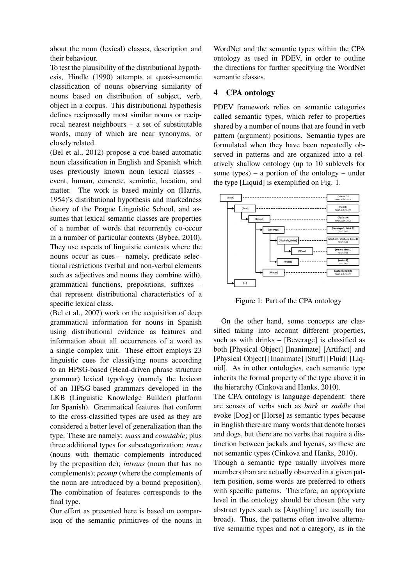about the noun (lexical) classes, description and their behaviour.

To test the plausibility of the distributional hypothesis, Hindle (1990) attempts at quasi-semantic classification of nouns observing similarity of nouns based on distribution of subject, verb, object in a corpus. This distributional hypothesis defines reciprocally most similar nouns or reciprocal nearest neighbours – a set of substitutable words, many of which are near synonyms, or closely related.

(Bel et al., 2012) propose a cue-based automatic noun classification in English and Spanish which uses previously known noun lexical classes event, human, concrete, semiotic, location, and matter. The work is based mainly on (Harris, 1954)'s distributional hypothesis and markedness theory of the Prague Linguistic School, and assumes that lexical semantic classes are properties of a number of words that recurrently co-occur in a number of particular contexts (Bybee, 2010). They use aspects of linguistic contexts where the nouns occur as cues – namely, predicate selectional restrictions (verbal and non-verbal elements such as adjectives and nouns they combine with), grammatical functions, prepositions, suffixes – that represent distributional characteristics of a specific lexical class.

(Bel et al., 2007) work on the acquisition of deep grammatical information for nouns in Spanish using distributional evidence as features and information about all occurrences of a word as a single complex unit. These effort employs 23 linguistic cues for classifying nouns according to an HPSG-based (Head-driven phrase structure grammar) lexical typology (namely the lexicon of an HPSG-based grammars developed in the LKB (Linguistic Knowledge Builder) platform for Spanish). Grammatical features that conform to the cross-classified types are used as they are considered a better level of generalization than the type. These are namely: *mass* and *countable*; plus three additional types for subcategorization: *trans* (nouns with thematic complements introduced by the preposition de); *intrans* (noun that has no complements); *pcomp* (where the complements of the noun are introduced by a bound preposition). The combination of features corresponds to the final type.

Our effort as presented here is based on comparison of the semantic primitives of the nouns in WordNet and the semantic types within the CPA ontology as used in PDEV, in order to outline the directions for further specifying the WordNet semantic classes.

### 4 CPA ontology

PDEV framework relies on semantic categories called semantic types, which refer to properties shared by a number of nouns that are found in verb pattern (argument) positions. Semantic types are formulated when they have been repeatedly observed in patterns and are organized into a relatively shallow ontology (up to 10 sublevels for some types) – a portion of the ontology – under the type [Liquid] is exemplified on Fig. 1.



Figure 1: Part of the CPA ontology

On the other hand, some concepts are classified taking into account different properties, such as with drinks – [Beverage] is classified as both [Physical Object] [Inanimate] [Artifact] and [Physical Object] [Inanimate] [Stuff] [Fluid] [Liquid]. As in other ontologies, each semantic type inherits the formal property of the type above it in the hierarchy (Cinkova and Hanks, 2010).

The CPA ontology is language dependent: there are senses of verbs such as *bark* or *saddle* that evoke [Dog] or [Horse] as semantic types because in English there are many words that denote horses and dogs, but there are no verbs that require a distinction between jackals and hyenas, so these are not semantic types (Cinkova and Hanks, 2010).

Though a semantic type usually involves more members than are actually observed in a given pattern position, some words are preferred to others with specific patterns. Therefore, an appropriate level in the ontology should be chosen (the very abstract types such as [Anything] are usually too broad). Thus, the patterns often involve alternative semantic types and not a category, as in the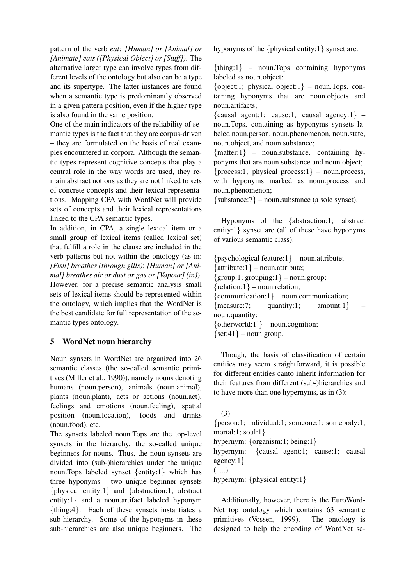pattern of the verb *eat*: *[Human] or [Animal] or [Animate] eats ([Physical Object] or [Stuff])*. The alternative larger type can involve types from different levels of the ontology but also can be a type and its supertype. The latter instances are found when a semantic type is predominantly observed in a given pattern position, even if the higher type is also found in the same position.

One of the main indicators of the reliability of semantic types is the fact that they are corpus-driven – they are formulated on the basis of real examples encountered in corpora. Although the semantic types represent cognitive concepts that play a central role in the way words are used, they remain abstract notions as they are not linked to sets of concrete concepts and their lexical representations. Mapping CPA with WordNet will provide sets of concepts and their lexical representations linked to the CPA semantic types.

In addition, in CPA, a single lexical item or a small group of lexical items (called lexical set) that fulfill a role in the clause are included in the verb patterns but not within the ontology (as in: *[Fish] breathes (through gills)*; *[Human] or [Animal] breathes air or dust or gas or [Vapour] (in)*). However, for a precise semantic analysis small sets of lexical items should be represented within the ontology, which implies that the WordNet is the best candidate for full representation of the semantic types ontology.

# 5 WordNet noun hierarchy

Noun synsets in WordNet are organized into 26 semantic classes (the so-called semantic primitives (Miller et al., 1990)), namely nouns denoting humans (noun.person), animals (noun.animal), plants (noun.plant), acts or actions (noun.act), feelings and emotions (noun.feeling), spatial position (noun.location), foods and drinks (noun.food), etc.

The synsets labeled noun.Tops are the top-level synsets in the hierarchy, the so-called unique beginners for nouns. Thus, the noun synsets are divided into (sub-)hierarchies under the unique noun.Tops labeled synset {entity:1} which has three hyponyms – two unique beginner synsets {physical entity:1} and {abstraction:1; abstract entity:1} and a noun.artifact labeled hyponym {thing:4}. Each of these synsets instantiates a sub-hierarchy. Some of the hyponyms in these sub-hierarchies are also unique beginners. The hyponyms of the {physical entity:1} synset are:

{thing:1} – noun.Tops containing hyponyms labeled as noun.object;

{object:1; physical object:1} – noun. Tops, containing hyponyms that are noun.objects and noun.artifacts;

{causal agent:1; cause:1; causal agency:1} – noun.Tops, containing as hyponyms synsets labeled noun.person, noun.phenomenon, noun.state, noun.object, and noun.substance;

 $\{matter:1\}$  – noun.substance, containing hyponyms that are noun.substance and noun.object;  ${process:1; physical process:1}$  – noun.process, with hyponyms marked as noun.process and noun.phenomenon;

 $\{\text{substrer:} 7\}$  – noun.substance (a sole synset).

Hyponyms of the {abstraction:1; abstract entity:1} synset are (all of these have hyponyms of various semantic class):

 $\{psychological feature:1\}$  – noun.attribute;  $\{$ attribute: $1$ } – noun.attribute;  $\{group:1; grouping:1\}$  – noun.group;  ${relation:1}$  – noun.relation;  ${commutation:1} - noun.communication;$  ${measure:7;$  quantity:1; amount:1} noun.quantity;  $\{otherworld:1'\}$  – noun.cognition;  $\{set:41\}$  – noun.group.

Though, the basis of classification of certain entities may seem straightforward, it is possible for different entities canto inherit information for their features from different (sub-)hierarchies and to have more than one hypernyms, as in (3):

(3) {person:1; individual:1; someone:1; somebody:1; mortal:1; soul:1} hypernym: {organism:1; being:1} hypernym: {causal agent:1; cause:1; causal agency:1} (.....) hypernym: {physical entity:1}

Additionally, however, there is the EuroWord-Net top ontology which contains 63 semantic primitives (Vossen, 1999). The ontology is designed to help the encoding of WordNet se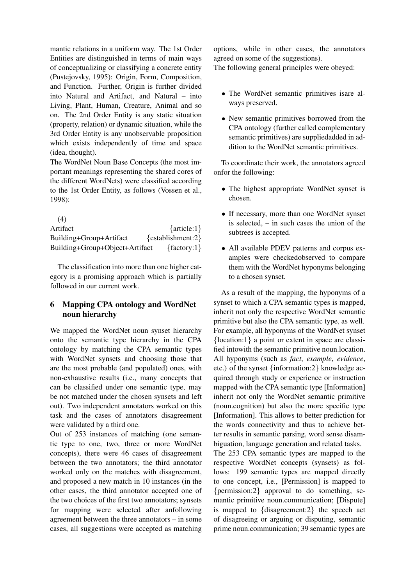mantic relations in a uniform way. The 1st Order Entities are distinguished in terms of main ways of conceptualizing or classifying a concrete entity (Pustejovsky, 1995): Origin, Form, Composition, and Function. Further, Origin is further divided into Natural and Artifact, and Natural – into Living, Plant, Human, Creature, Animal and so on. The 2nd Order Entity is any static situation (property, relation) or dynamic situation, while the 3rd Order Entity is any unobservable proposition which exists independently of time and space (idea, thought).

The WordNet Noun Base Concepts (the most important meanings representing the shared cores of the different WordNets) were classified according to the 1st Order Entity, as follows (Vossen et al., 1998):

(4) Artifact {article:1} Building+Group+Artifact {establishment:2} Building+Group+Object+Artifact {factory:1}

The classification into more than one higher category is a promising approach which is partially followed in our current work.

# 6 Mapping CPA ontology and WordNet noun hierarchy

We mapped the WordNet noun synset hierarchy onto the semantic type hierarchy in the CPA ontology by matching the CPA semantic types with WordNet synsets and choosing those that are the most probable (and populated) ones, with non-exhaustive results (i.e., many concepts that can be classified under one semantic type, may be not matched under the chosen synsets and left out). Two independent annotators worked on this task and the cases of annotators disagreement were validated by a third one.

Out of 253 instances of matching (one semantic type to one, two, three or more WordNet concepts), there were 46 cases of disagreement between the two annotators; the third annotator worked only on the matches with disagreement, and proposed a new match in 10 instances (in the other cases, the third annotator accepted one of the two choices of the first two annotators; synsets for mapping were selected after anfollowing agreement between the three annotators – in some cases, all suggestions were accepted as matching

options, while in other cases, the annotators agreed on some of the suggestions). The following general principles were obeyed:

- - The WordNet semantic primitives isare always preserved.
	- New semantic primitives borrowed from the CPA ontology (further called complementary semantic primitives) are suppliedadded in addition to the WordNet semantic primitives.

To coordinate their work, the annotators agreed onfor the following:

- The highest appropriate WordNet synset is chosen.
- If necessary, more than one WordNet synset is selected, – in such cases the union of the subtrees is accepted.
- All available PDEV patterns and corpus examples were checkedobserved to compare them with the WordNet hyponyms belonging to a chosen synset.

As a result of the mapping, the hyponyms of a synset to which a CPA semantic types is mapped, inherit not only the respective WordNet semantic primitive but also the CPA semantic type, as well. For example, all hyponyms of the WordNet synset {location:1} a point or extent in space are classified intowith the semantic primitive noun.location. All hyponyms (such as *fact*, *example*, *evidence*, etc.) of the synset {information:2} knowledge acquired through study or experience or instruction mapped with the CPA semantic type [Information] inherit not only the WordNet semantic primitive (noun.cognition) but also the more specific type [Information]. This allows to better prediction for the words connectivity and thus to achieve better results in semantic parsing, word sense disambiguation, language generation and related tasks.

The 253 CPA semantic types are mapped to the respective WordNet concepts (synsets) as follows: 199 semantic types are mapped directly to one concept, i.e., [Permission] is mapped to {permission:2} approval to do something, semantic primitive noun.communication; [Dispute] is mapped to {disagreement:2} the speech act of disagreeing or arguing or disputing, semantic prime noun.communication; 39 semantic types are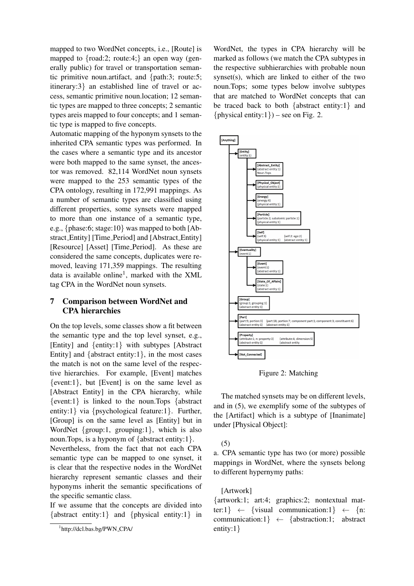mapped to two WordNet concepts, i.e., [Route] is mapped to  ${road:2; route:4}$  an open way (generally public) for travel or transportation semantic primitive noun.artifact, and {path:3; route:5; itinerary:3} an established line of travel or access, semantic primitive noun.location; 12 semantic types are mapped to three concepts; 2 semantic types areis mapped to four concepts; and 1 semantic type is mapped to five concepts.

Automatic mapping of the hyponym synsets to the inherited CPA semantic types was performed. In the cases where a semantic type and its ancestor were both mapped to the same synset, the ancestor was removed. 82,114 WordNet noun synsets were mapped to the 253 semantic types of the CPA ontology, resulting in 172,991 mappings. As a number of semantic types are classified using different properties, some synsets were mapped to more than one instance of a semantic type, e.g., {phase:6; stage:10} was mapped to both [Abstract Entity] [Time Period] and [Abstract Entity] [Resource] [Asset] [Time\_Period]. As these are considered the same concepts, duplicates were removed, leaving 171,359 mappings. The resulting data is available online<sup>1</sup>, marked with the XML tag CPA in the WordNet noun synsets.

# 7 Comparison between WordNet and CPA hierarchies

On the top levels, some classes show a fit between the semantic type and the top level synset, e.g., [Entity] and {entity:1} with subtypes [Abstract Entity] and  $\{abstract entity:1\}$ , in the most cases the match is not on the same level of the respective hierarchies. For example, [Event] matches  $\{$ event:1}\, but [Event] is on the same level as [Abstract Entity] in the CPA hierarchy, while {event:1} is linked to the noun.Tops {abstract entity:1} via {psychological feature:1}. Further, [Group] is on the same level as [Entity] but in WordNet {group:1, grouping:1}, which is also noun.Tops, is a hyponym of {abstract entity:1}.

Nevertheless, from the fact that not each CPA semantic type can be mapped to one synset, it is clear that the respective nodes in the WordNet hierarchy represent semantic classes and their hyponyms inherit the semantic specifications of the specific semantic class.

If we assume that the concepts are divided into {abstract entity:1} and {physical entity:1} in

WordNet, the types in CPA hierarchy will be marked as follows (we match the CPA subtypes in the respective subhierarchies with probable noun synset(s), which are linked to either of the two noun.Tops; some types below involve subtypes that are matched to WordNet concepts that can be traced back to both {abstract entity:1} and  $\{$  physical entity:1}) – see on Fig. 2.



Figure 2: Matching

The matched synsets may be on different levels, and in (5), we exemplify some of the subtypes of the [Artifact] which is a subtype of [Inanimate] under [Physical Object]:

#### (5)

a. CPA semantic type has two (or more) possible mappings in WordNet, where the synsets belong to different hypernymy paths:

#### [Artwork]

{artwork:1; art:4; graphics:2; nontextual matter:1}  $\leftarrow$  {visual communication:1}  $\leftarrow$  {n: communication:1}  $\leftarrow$  {abstraction:1; abstract entity:1}

<sup>1</sup> http://dcl.bas.bg/PWN CPA/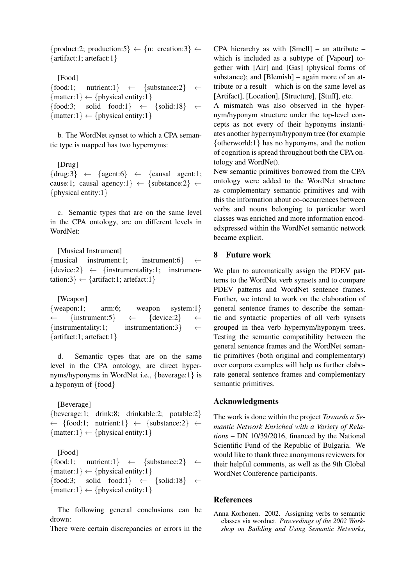{product:2; production:5}  $\leftarrow \{n: creation:3\}$   $\leftarrow$ {artifact:1; artefact:1}

[Food] {food:1; nutrient:1}  $\leftarrow$  {substance:2}  $\leftarrow$  $\{matter:1\} \leftarrow \{physical\ entity:1\}$ {food:3; solid food:1}  $\leftarrow$  {solid:18}  $\leftarrow$  $\{matter:1\} \leftarrow \{physical\ entity:1\}$ 

b. The WordNet synset to which a CPA semantic type is mapped has two hypernyms:

[Drug]  $\{$ drug:3}  $\leftarrow$   $\{$ agent:6}  $\leftarrow$   $\{$ causal agent:1; cause:1; causal agency:1}  $\leftarrow$  {substance:2}  $\leftarrow$ {physical entity:1}

c. Semantic types that are on the same level in the CPA ontology, are on different levels in WordNet:

[Musical Instrument] {musical instrument:1; instrument:6} ←  $\{$ device:2}  $\leftarrow$  {instrumentality:1; instrumentation:3}  $\leftarrow$  {artifact:1; artefact:1}

[Weapon]

{weapon:1; arm:6; weapon system:1} ← {instrument:5} ← {device:2} ← {instrumentality:1; instrumentation:3}  $\leftarrow$ {artifact:1; artefact:1}

d. Semantic types that are on the same level in the CPA ontology, are direct hypernyms/hyponyms in WordNet i.e., {beverage:1} is a hyponym of {food}

[Beverage] {beverage:1; drink:8; drinkable:2; potable:2} ← {food:1; nutrient:1} ← {substance:2} ←  $\{matter:1\} \leftarrow \{physical\ entity:1\}$ 

[Food] {food:1; nutrient:1}  $\leftarrow$  {substance:2}  $\leftarrow$  $\{matter:1\} \leftarrow \{physical\ entity:1\}$ {food:3; solid food:1}  $\leftarrow$  {solid:18}  $\leftarrow$  $\{matter:1\} \leftarrow \{physical\ entity:1\}$ 

The following general conclusions can be drown:

There were certain discrepancies or errors in the

CPA hierarchy as with [Smell] – an attribute – which is included as a subtype of [Vapour] together with [Air] and [Gas] (physical forms of substance); and [Blemish] – again more of an attribute or a result – which is on the same level as [Artifact], [Location], [Structure], [Stuff], etc.

A mismatch was also observed in the hypernym/hyponym structure under the top-level concepts as not every of their hyponyms instantiates another hypernym/hyponym tree (for example {otherworld:1} has no hyponyms, and the notion of cognition is spread throughout both the CPA ontology and WordNet).

New semantic primitives borrowed from the CPA ontology were added to the WordNet structure as complementary semantic primitives and with this the information about co-occurrences between verbs and nouns belonging to particular word classes was enriched and more information encodedxpressed within the WordNet semantic network became explicit.

### 8 Future work

We plan to automatically assign the PDEV patterns to the WordNet verb synsets and to compare PDEV patterns and WordNet sentence frames. Further, we intend to work on the elaboration of general sentence frames to describe the semantic and syntactic properties of all verb synsets grouped in thea verb hypernym/hyponym trees. Testing the semantic compatibility between the general sentence frames and the WordNet semantic primitives (both original and complementary) over corpora examples will help us further elaborate general sentence frames and complementary semantic primitives.

# Acknowledgments

The work is done within the project *Towards a Semantic Network Enriched with a Variety of Relations* – DN 10/39/2016, financed by the National Scientific Fund of the Republic of Bulgaria. We would like to thank three anonymous reviewers for their helpful comments, as well as the 9th Global WordNet Conference participants.

#### **References**

Anna Korhonen. 2002. Assigning verbs to semantic classes via wordnet. *Proceedings of the 2002 Workshop on Building and Using Semantic Networks*,